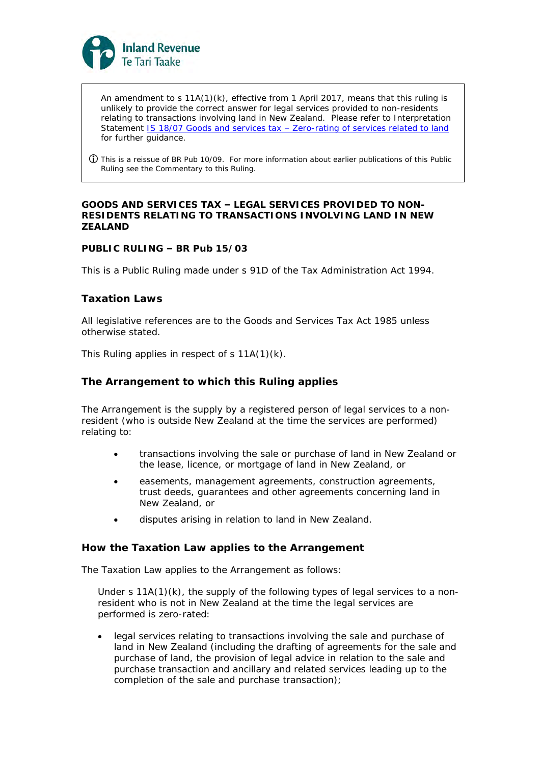

An amendment to  $s$  11A(1)(k), effective from 1 April 2017, means that this ruling is unlikely to provide the correct answer for legal services provided to non-residents relating to transactions involving land in New Zealand. Please refer to Interpretation Statement IS 18/07 Goods and services tax - [Zero-rating of services related to land](https://www.classic.ird.govt.nz/resources/3/3/33caee17-62dc-44aa-8ff8-6822a2af7e1e/is18-07.pdf) for further guidance.

 This is a reissue of BR Pub 10/09. For more information about earlier publications of this Public Ruling see the Commentary to this Ruling.

**GOODS AND SERVICES TAX – LEGAL SERVICES PROVIDED TO NON-RESIDENTS RELATING TO TRANSACTIONS INVOLVING LAND IN NEW ZEALAND**

### **PUBLIC RULING – BR Pub 15/03**

This is a Public Ruling made under s 91D of the Tax Administration Act 1994.

### **Taxation Laws**

All legislative references are to the Goods and Services Tax Act 1985 unless otherwise stated.

This Ruling applies in respect of s 11A(1)(k).

#### **The Arrangement to which this Ruling applies**

The Arrangement is the supply by a registered person of legal services to a nonresident (who is outside New Zealand at the time the services are performed) relating to:

- transactions involving the sale or purchase of land in New Zealand or the lease, licence, or mortgage of land in New Zealand, or
- easements, management agreements, construction agreements, trust deeds, guarantees and other agreements concerning land in New Zealand, or
- disputes arising in relation to land in New Zealand.

### **How the Taxation Law applies to the Arrangement**

The Taxation Law applies to the Arrangement as follows:

Under s  $11A(1)(k)$ , the supply of the following types of legal services to a nonresident who is not in New Zealand at the time the legal services are performed is zero-rated:

• legal services relating to transactions involving the sale and purchase of land in New Zealand (including the drafting of agreements for the sale and purchase of land, the provision of legal advice in relation to the sale and purchase transaction and ancillary and related services leading up to the completion of the sale and purchase transaction);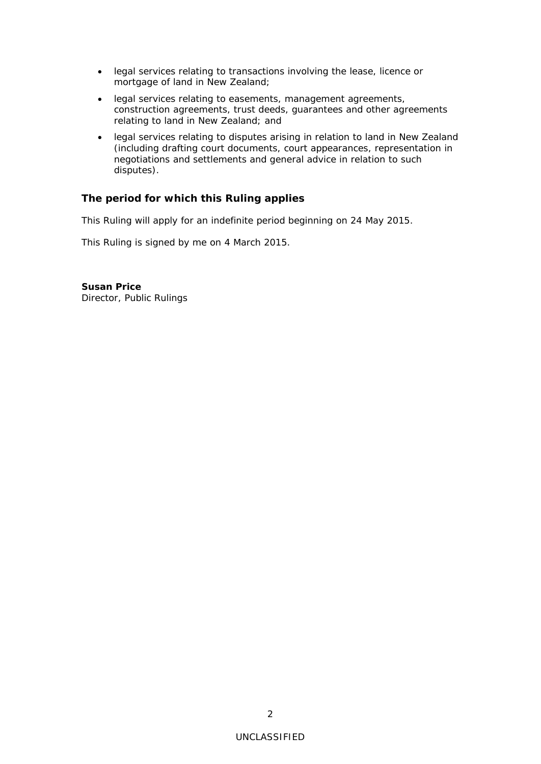- legal services relating to transactions involving the lease, licence or mortgage of land in New Zealand;
- legal services relating to easements, management agreements, construction agreements, trust deeds, guarantees and other agreements relating to land in New Zealand; and
- legal services relating to disputes arising in relation to land in New Zealand (including drafting court documents, court appearances, representation in negotiations and settlements and general advice in relation to such disputes).

## **The period for which this Ruling applies**

This Ruling will apply for an indefinite period beginning on 24 May 2015.

This Ruling is signed by me on 4 March 2015.

**Susan Price** Director, Public Rulings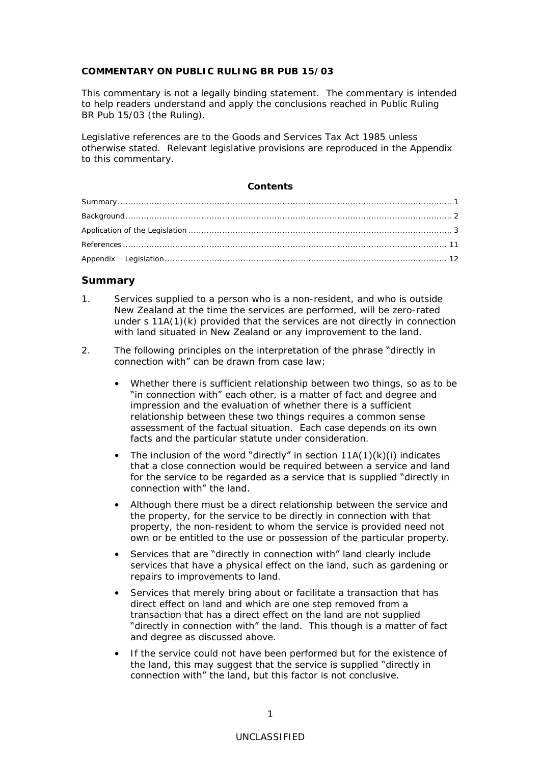### **COMMENTARY ON PUBLIC RULING BR PUB 15/03**

This commentary is not a legally binding statement. The commentary is intended to help readers understand and apply the conclusions reached in Public Ruling BR Pub 15/03 (the Ruling).

Legislative references are to the Goods and Services Tax Act 1985 unless otherwise stated. Relevant legislative provisions are reproduced in the Appendix to this commentary.

## **Contents**

### <span id="page-2-0"></span>**Summary**

1. Services supplied to a person who is a non-resident, and who is outside New Zealand at the time the services are performed, will be zero-rated under s 11A(1)(k) provided that the services are not directly in connection with land situated in New Zealand or any improvement to the land.

#### 2. The following principles on the interpretation of the phrase "directly in connection with" can be drawn from case law:

- Whether there is sufficient relationship between two things, so as to be "in connection with" each other, is a matter of fact and degree and impression and the evaluation of whether there is a sufficient relationship between these two things requires a common sense assessment of the factual situation. Each case depends on its own facts and the particular statute under consideration.
- The inclusion of the word "directly" in section  $11A(1)(k)(i)$  indicates that a close connection would be required between a service and land for the service to be regarded as a service that is supplied "directly in connection with" the land.
- Although there must be a direct relationship between the service and the property, for the service to be directly in connection with that property, the non-resident to whom the service is provided need not own or be entitled to the use or possession of the particular property.
- Services that are "directly in connection with" land clearly include services that have a physical effect on the land, such as gardening or repairs to improvements to land.
- Services that merely bring about or facilitate a transaction that has direct effect on land and which are one step removed from a transaction that has a direct effect on the land are not supplied "directly in connection with" the land. This though is a matter of fact and degree as discussed above.
- If the service could not have been performed but for the existence of the land, this may suggest that the service is supplied "directly in connection with" the land, but this factor is not conclusive.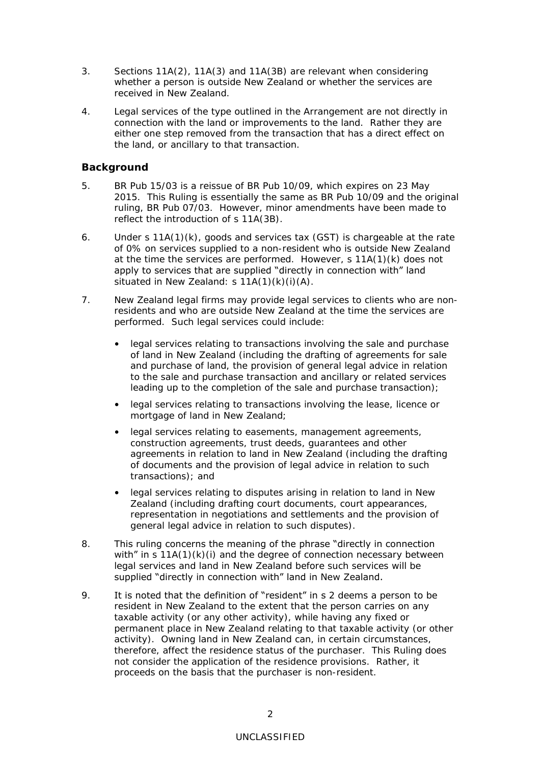- <span id="page-3-1"></span>3. Sections 11A(2), 11A(3) and 11A(3B) are relevant when considering whether a person is outside New Zealand or whether the services are received in New Zealand.
- 4. Legal services of the type outlined in the Arrangement are not directly in connection with the land or improvements to the land. Rather they are either one step removed from the transaction that has a direct effect on the land, or ancillary to that transaction.

## <span id="page-3-0"></span>**Background**

- 5. BR Pub 15/03 is a reissue of BR Pub 10/09, which expires on 23 May 2015. This Ruling is essentially the same as BR Pub 10/09 and the original ruling, BR Pub 07/03. However, minor amendments have been made to reflect the introduction of s 11A(3B).
- 6. Under s 11A(1)(k), goods and services tax (GST) is chargeable at the rate of 0% on services supplied to a non-resident who is outside New Zealand at the time the services are performed. However, s 11A(1)(k) does not apply to services that are supplied "directly in connection with" land situated in New Zealand: s 11A(1)(k)(i)(A).
- 7. New Zealand legal firms may provide legal services to clients who are nonresidents and who are outside New Zealand at the time the services are performed. Such legal services could include:
	- legal services relating to transactions involving the sale and purchase of land in New Zealand (including the drafting of agreements for sale and purchase of land, the provision of general legal advice in relation to the sale and purchase transaction and ancillary or related services leading up to the completion of the sale and purchase transaction);
	- legal services relating to transactions involving the lease, licence or mortgage of land in New Zealand;
	- legal services relating to easements, management agreements, construction agreements, trust deeds, guarantees and other agreements in relation to land in New Zealand (including the drafting of documents and the provision of legal advice in relation to such transactions); and
	- legal services relating to disputes arising in relation to land in New Zealand (including drafting court documents, court appearances, representation in negotiations and settlements and the provision of general legal advice in relation to such disputes).
- 8. This ruling concerns the meaning of the phrase "directly in connection with" in s  $11A(1)(k)(i)$  and the degree of connection necessary between legal services and land in New Zealand before such services will be supplied "directly in connection with" land in New Zealand.
- 9. It is noted that the definition of "resident" in s 2 deems a person to be resident in New Zealand to the extent that the person carries on any taxable activity (or any other activity), while having any fixed or permanent place in New Zealand relating to that taxable activity (or other activity). Owning land in New Zealand can, in certain circumstances, therefore, affect the residence status of the purchaser. This Ruling does not consider the application of the residence provisions. Rather, it proceeds on the basis that the purchaser is non-resident.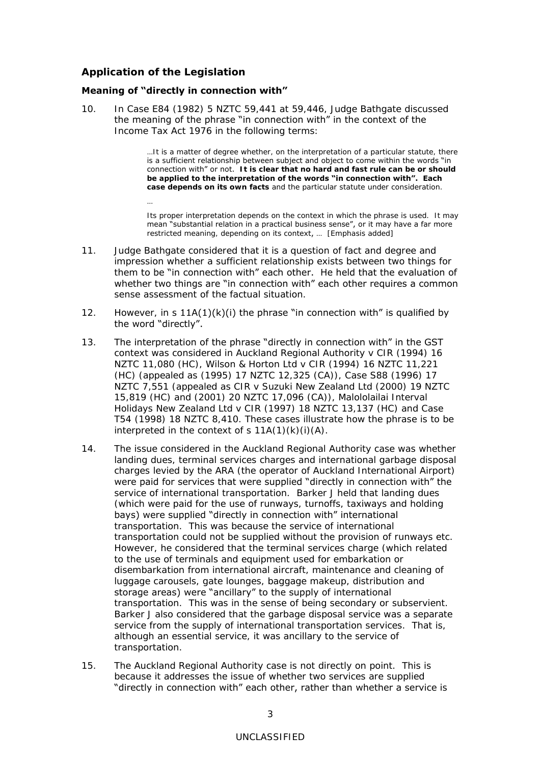## **Application of the Legislation**

…

### **Meaning of "directly in connection with"**

10. In *Case E84* (1982) 5 NZTC 59,441 at 59,446, Judge Bathgate discussed the meaning of the phrase "in connection with" in the context of the Income Tax Act 1976 in the following terms:

> …It is a matter of degree whether, on the interpretation of a particular statute, there is a sufficient relationship between subject and object to come within the words "in connection with" or not. **It is clear that no hard and fast rule can be or should be applied to the interpretation of the words "in connection with". Each case depends on its own facts** and the particular statute under consideration.

> Its proper interpretation depends on the context in which the phrase is used. It may mean "substantial relation in a practical business sense", or it may have a far more restricted meaning, depending on its context, ... [Emphasis added]

- 11. Judge Bathgate considered that it is a question of fact and degree and impression whether a sufficient relationship exists between two things for them to be "in connection with" each other. He held that the evaluation of whether two things are "in connection with" each other requires a common sense assessment of the factual situation.
- 12. However, in s  $11A(1)(k)(i)$  the phrase "in connection with" is qualified by the word "directly".
- 13. The interpretation of the phrase "directly in connection with" in the GST context was considered in *Auckland Regional Authority v CIR* (1994) 16 NZTC 11,080 (HC), *Wilson & Horton Ltd v CIR* (1994) 16 NZTC 11,221 (HC) (appealed as (1995) 17 NZTC 12,325 (CA)), *Case S88* (1996) 17 NZTC 7,551 (appealed as *CIR v Suzuki New Zealand Ltd* (2000) 19 NZTC 15,819 (HC) and (2001) 20 NZTC 17,096 (CA)), *Malololailai Interval Holidays New Zealand Ltd v CIR* (1997) 18 NZTC 13,137 (HC) and *Case T54* (1998) 18 NZTC 8,410. These cases illustrate how the phrase is to be interpreted in the context of  $s$  11A(1)(k)(i)(A).
- 14. The issue considered in the *Auckland Regional Authority* case was whether landing dues, terminal services charges and international garbage disposal charges levied by the ARA (the operator of Auckland International Airport) were paid for services that were supplied "directly in connection with" the service of international transportation. Barker J held that landing dues (which were paid for the use of runways, turnoffs, taxiways and holding bays) were supplied "directly in connection with" international transportation. This was because the service of international transportation could not be supplied without the provision of runways etc. However, he considered that the terminal services charge (which related to the use of terminals and equipment used for embarkation or disembarkation from international aircraft, maintenance and cleaning of luggage carousels, gate lounges, baggage makeup, distribution and storage areas) were "ancillary" to the supply of international transportation. This was in the sense of being secondary or subservient. Barker J also considered that the garbage disposal service was a separate service from the supply of international transportation services. That is, although an essential service, it was ancillary to the service of transportation.
- 15. The *Auckland Regional Authority* case is not directly on point. This is because it addresses the issue of whether two services are supplied "directly in connection with" each other, rather than whether a service is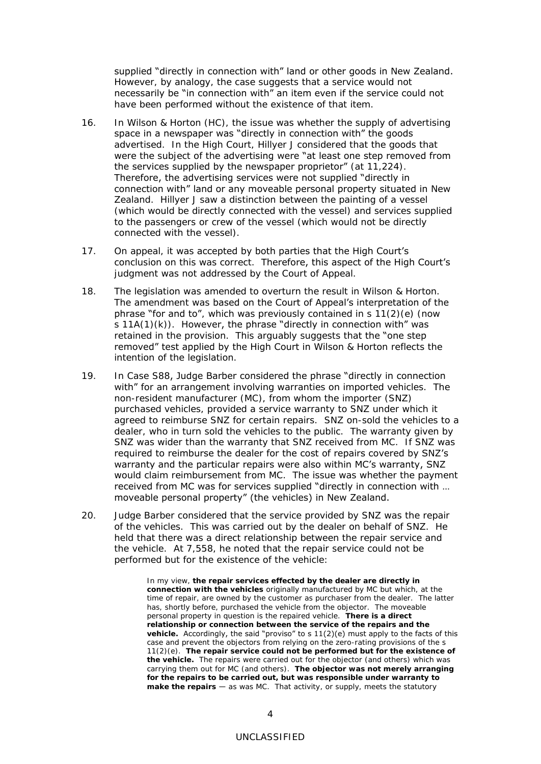supplied "directly in connection with" land or other goods in New Zealand. However, by analogy, the case suggests that a service would not necessarily be "in connection with" an item even if the service could not have been performed without the existence of that item.

- 16. In *Wilson & Horton* (HC), the issue was whether the supply of advertising space in a newspaper was "directly in connection with" the goods advertised. In the High Court, Hillyer J considered that the goods that were the subject of the advertising were "at least one step removed from the services supplied by the newspaper proprietor" (at 11,224). Therefore, the advertising services were not supplied "directly in connection with" land or any moveable personal property situated in New Zealand. Hillyer J saw a distinction between the painting of a vessel (which would be directly connected with the vessel) and services supplied to the passengers or crew of the vessel (which would not be directly connected with the vessel).
- 17. On appeal, it was accepted by both parties that the High Court's conclusion on this was correct. Therefore, this aspect of the High Court's judgment was not addressed by the Court of Appeal.
- 18. The legislation was amended to overturn the result in *Wilson & Horton*. The amendment was based on the Court of Appeal's interpretation of the **phrase "for and to"**, which was previously contained in s  $11(2)(e)$  (now  $s$  11A(1)(k)). However, the phrase "directly in connection with" was retained in the provision. This arguably suggests that the "one step removed" test applied by the High Court in *Wilson & Horton* reflects the intention of the legislation.
- 19. In *Case S88*, Judge Barber considered the phrase "directly in connection with" for an arrangement involving warranties on imported vehicles. The non-resident manufacturer (MC), from whom the importer (SNZ) purchased vehicles, provided a service warranty to SNZ under which it agreed to reimburse SNZ for certain repairs. SNZ on-sold the vehicles to a dealer, who in turn sold the vehicles to the public. The warranty given by SNZ was wider than the warranty that SNZ received from MC. If SNZ was required to reimburse the dealer for the cost of repairs covered by SNZ's warranty and the particular repairs were also within MC's warranty, SNZ would claim reimbursement from MC. The issue was whether the payment received from MC was for services supplied "directly in connection with … moveable personal property" (the vehicles) in New Zealand.
- 20. Judge Barber considered that the service provided by SNZ was the repair of the vehicles. This was carried out by the dealer on behalf of SNZ. He held that there was a direct relationship between the repair service and the vehicle. At 7,558, he noted that the repair service could not be performed but for the existence of the vehicle:

In my view, **the repair services effected by the dealer are directly in connection with the vehicles** originally manufactured by MC but which, at the time of repair, are owned by the customer as purchaser from the dealer. The latter has, shortly before, purchased the vehicle from the objector. The moveable personal property in question is the repaired vehicle. **There is a direct relationship or connection between the service of the repairs and the**  vehicle. Accordingly, the said "proviso" to s 11(2)(e) must apply to the facts of this case and prevent the objectors from relying on the zero-rating provisions of the s 11(2)(e). **The repair service could not be performed but for the existence of the vehicle.** The repairs were carried out for the objector (and others) which was carrying them out for MC (and others). **The objector was not merely arranging for the repairs to be carried out, but was responsible under warranty to make the repairs** — as was MC. That activity, or supply, meets the statutory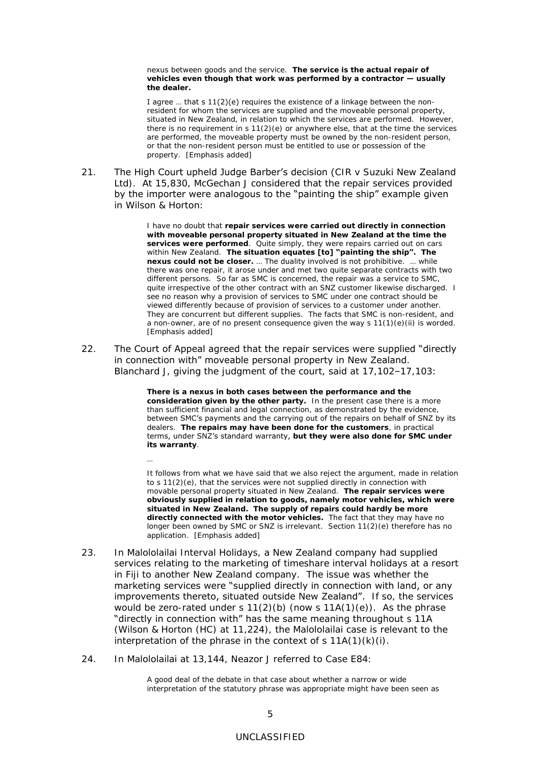nexus between goods and the service. **The service is the actual repair of vehicles even though that work was performed by a contractor — usually the dealer.**

I agree … that s 11(2)(e) requires the existence of a linkage between the nonresident for whom the services are supplied and the moveable personal property, situated in New Zealand, in relation to which the services are performed. However, there is no requirement in  $s 11(2)(e)$  or anywhere else, that at the time the services are performed, the moveable property must be owned by the non-resident person, or that the non-resident person must be entitled to use or possession of the property. [Emphasis added]

21. The High Court upheld Judge Barber's decision (*CIR v Suzuki New Zealand Ltd*). At 15,830, McGechan J considered that the repair services provided by the importer were analogous to the "painting the ship" example given in *Wilson & Horton*:

> I have no doubt that **repair services were carried out directly in connection with moveable personal property situated in New Zealand at the time the services were performed**. Quite simply, they were repairs carried out on cars within New Zealand. **The situation equates [to] "painting the ship". The nexus could not be closer.** … The duality involved is not prohibitive. … while there was one repair, it arose under and met two quite separate contracts with two different persons. So far as SMC is concerned, the repair was a service to SMC, quite irrespective of the other contract with an SNZ customer likewise discharged. I see no reason why a provision of services to SMC under one contract should be viewed differently because of provision of services to a customer under another. They are concurrent but different supplies. The facts that SMC is non-resident, and a non-owner, are of no present consequence given the way s 11(1)(e)(ii) is worded. [Emphasis added]

22. The Court of Appeal agreed that the repair services were supplied "directly in connection with" moveable personal property in New Zealand. Blanchard J, giving the judgment of the court, said at 17,102–17,103:

> **There is a nexus in both cases between the performance and the consideration given by the other party.** In the present case there is a more than sufficient financial and legal connection, as demonstrated by the evidence, between SMC's payments and the carrying out of the repairs on behalf of SNZ by its dealers. **The repairs may have been done for the customers**, in practical terms, under SNZ's standard warranty, **but they were also done for SMC under its warranty**.

It follows from what we have said that we also reject the argument, made in relation to s 11(2)(e), that the services were not supplied directly in connection with movable personal property situated in New Zealand. **The repair services were obviously supplied in relation to goods, namely motor vehicles, which were situated in New Zealand. The supply of repairs could hardly be more directly connected with the motor vehicles.** The fact that they may have no longer been owned by SMC or SNZ is irrelevant. Section 11(2)(e) therefore has no application. [Emphasis added]

- 23. In *Malololailai Interval Holidays*, a New Zealand company had supplied services relating to the marketing of timeshare interval holidays at a resort in Fiji to another New Zealand company. The issue was whether the marketing services were "supplied directly in connection with land, or any improvements thereto, situated outside New Zealand". If so, the services would be zero-rated under s  $11(2)(b)$  (now s  $11A(1)(e)$ ). As the phrase "directly in connection with" has the same meaning throughout s 11A (*Wilson & Horton* (HC) at 11,224), the *Malololailai* case is relevant to the interpretation of the phrase in the context of s  $11A(1)(k)(i)$ .
- 24. In *Malololailai* at 13,144, Neazor J referred to *Case E84*:

…

A good deal of the debate in that case about whether a narrow or wide interpretation of the statutory phrase was appropriate might have been seen as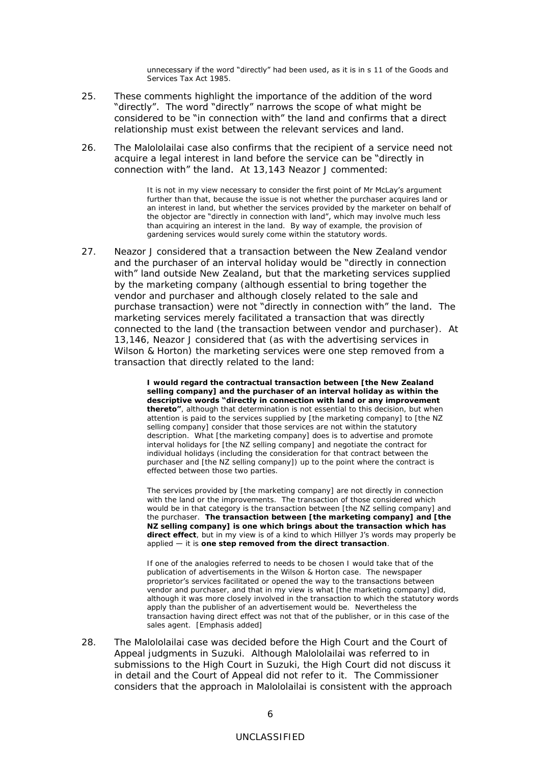unnecessary if the word "directly" had been used, as it is in s 11 of the *Goods and Services Tax Act* 1985.

- 25. These comments highlight the importance of the addition of the word "directly". The word "directly" narrows the scope of what might be considered to be "in connection with" the land and confirms that a direct relationship must exist between the relevant services and land.
- 26. The *Malololailai* case also confirms that the recipient of a service need not acquire a legal interest in land before the service can be "directly in connection with" the land. At 13,143 Neazor J commented:

It is not in my view necessary to consider the first point of Mr McLay's argument further than that, because the issue is not whether the purchaser acquires land or an interest in land, but whether the services provided by the marketer on behalf of the objector are "directly in connection with land", which may involve much less than acquiring an interest in the land. By way of example, the provision of gardening services would surely come within the statutory words.

27. Neazor J considered that a transaction between the New Zealand vendor and the purchaser of an interval holiday would be "directly in connection with" land outside New Zealand, but that the marketing services supplied by the marketing company (although essential to bring together the vendor and purchaser and although closely related to the sale and purchase transaction) were not "directly in connection with" the land. The marketing services merely facilitated a transaction that was directly connected to the land (the transaction between vendor and purchaser). At 13,146, Neazor J considered that (as with the advertising services in *Wilson & Horton*) the marketing services were one step removed from a transaction that directly related to the land:

> **I would regard the contractual transaction between [the New Zealand selling company] and the purchaser of an interval holiday as within the descriptive words "directly in connection with land or any improvement thereto"**, although that determination is not essential to this decision, but when attention is paid to the services supplied by [the marketing company] to [the NZ selling company] consider that those services are not within the statutory description. What [the marketing company] does is to advertise and promote interval holidays for [the NZ selling company] and negotiate the contract for individual holidays (including the consideration for that contract between the purchaser and [the NZ selling company]) up to the point where the contract is effected between those two parties.

The services provided by [the marketing company] are not *directly* in connection with the land or the improvements. The transaction of those considered which would be in that category is the transaction between [the NZ selling company] and the purchaser. **The transaction between [the marketing company] and [the NZ selling company] is one which brings about the transaction which has direct effect**, but in my view is of a kind to which *Hillyer* J's words may properly be applied — it is **one step removed from the direct transaction**.

If one of the analogies referred to needs to be chosen I would take that of the publication of advertisements in the *Wilson & Horton* case. The newspaper proprietor's services facilitated or opened the way to the transactions between vendor and purchaser, and that in my view is what [the marketing company] did, although it was more closely involved in the transaction to which the statutory words apply than the publisher of an advertisement would be. Nevertheless the transaction having direct effect was not that of the publisher, or in this case of the sales agent. [Emphasis added]

28. The *Malololailai* case was decided before the High Court and the Court of Appeal judgments in *Suzuki*. Although *Malololailai* was referred to in submissions to the High Court in *Suzuki*, the High Court did not discuss it in detail and the Court of Appeal did not refer to it. The Commissioner considers that the approach in *Malololailai* is consistent with the approach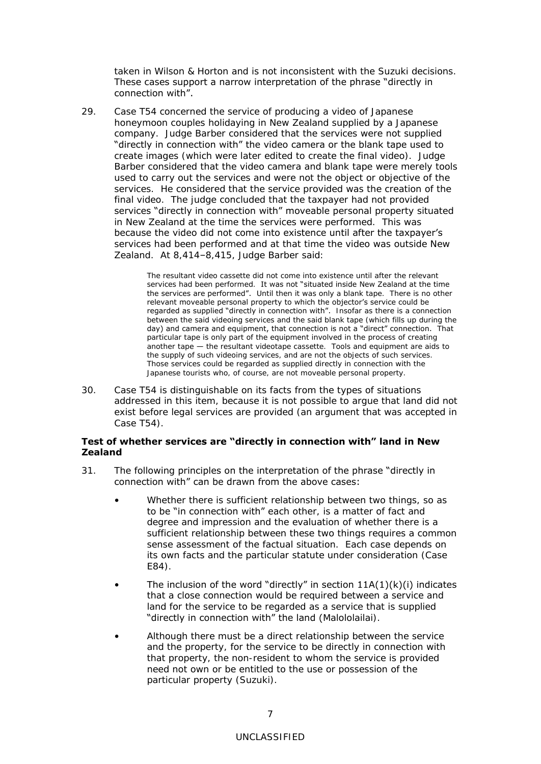taken in *Wilson & Horton* and is not inconsistent with the *Suzuki* decisions. These cases support a narrow interpretation of the phrase "directly in connection with".

29. *Case T54* concerned the service of producing a video of Japanese honeymoon couples holidaying in New Zealand supplied by a Japanese company. Judge Barber considered that the services were not supplied "directly in connection with" the video camera or the blank tape used to create images (which were later edited to create the final video). Judge Barber considered that the video camera and blank tape were merely tools used to carry out the services and were not the object or objective of the services. He considered that the service provided was the creation of the final video. The judge concluded that the taxpayer had not provided services "directly in connection with" moveable personal property situated in New Zealand at the time the services were performed. This was because the video did not come into existence until after the taxpayer's services had been performed and at that time the video was outside New Zealand. At 8,414–8,415, Judge Barber said:

> The resultant video cassette did not come into existence until after the relevant services had been performed. It was not "situated inside New Zealand at the time the services are performed". Until then it was only a blank tape. There is no other relevant moveable personal property to which the objector's service could be regarded as supplied "directly in connection with". Insofar as there is a connection between the said videoing services and the said blank tape (which fills up during the day) and camera and equipment, that connection is not a "direct" connection. That particular tape is only part of the equipment involved in the process of creating another tape — the resultant videotape cassette. Tools and equipment are aids to the supply of such videoing services, and are not the objects of such services. Those services could be regarded as supplied directly in connection with the Japanese tourists who, of course, are not moveable personal property.

30. *Case T54* is distinguishable on its facts from the types of situations addressed in this item, because it is not possible to argue that land did not exist before legal services are provided (an argument that was accepted in *Case T54*).

## **Test of whether services are "directly in connection with" land in New Zealand**

- 31. The *following* principles on the interpretation of the phrase "directly in connection with" can be drawn from the above cases:
	- Whether there is sufficient relationship between two things, so as to be "in connection with" each other, is a matter of fact and degree and impression and the evaluation of whether there is a sufficient relationship between these two things requires a common sense assessment of the factual situation. Each case depends on its own facts and the particular statute under consideration (*Case E84*).
	- The inclusion of the word "directly" in section  $11A(1)(k)(i)$  indicates that a close connection would be required between a service and land for the service to be regarded as a service that is supplied "directly in connection with" the land (*Malololailai*).
	- Although there must be a direct relationship between the service and the property, for the service to be directly in connection with that property, the non-resident to whom the service is provided need not own or be entitled to the use or possession of the particular property (*Suzuki*).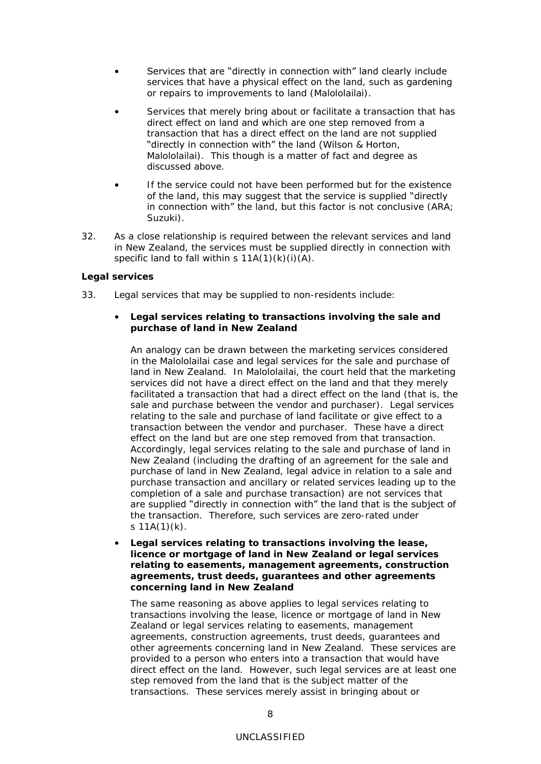- Services that are "directly in connection with" land clearly include services that have a physical effect on the land, such as gardening or repairs to improvements to land (*Malololailai*).
- Services that merely bring about or facilitate a transaction that has direct effect on land and which are one step removed from a transaction that has a direct effect on the land are not supplied "directly in connection with" the land (*Wilson & Horton*, *Malololailai*). This though is a matter of fact and degree as discussed above.
- If the service could not have been performed but for the existence of the land, this may suggest that the service is supplied "directly in connection with" the land, but this factor is not conclusive (*ARA*; *Suzuki*).
- 32. As a close relationship is required between the relevant services and land in New Zealand, the services must be supplied directly in connection with specific land to fall within s  $11A(1)(k)(i)(A)$ .

### **Legal services**

- 33. Legal services that may be supplied to non-residents include:
	- *Legal services relating to transactions involving the sale and purchase of land in New Zealand*

An analogy can be drawn between the marketing services considered in the *Malololailai* case and legal services for the sale and purchase of land in New Zealand. In *Malololailai*, the court held that the marketing services did not have a direct effect on the land and that they merely facilitated a transaction that had a direct effect on the land (that is, the sale and purchase between the vendor and purchaser). Legal services relating to the sale and purchase of land facilitate or give effect to a transaction between the vendor and purchaser. These have a direct effect on the land but are one step removed from that transaction. Accordingly, legal services relating to the sale and purchase of land in New Zealand (including the drafting of an agreement for the sale and purchase of land in New Zealand, legal advice in relation to a sale and purchase transaction and ancillary or related services leading up to the completion of a sale and purchase transaction) are not services that are supplied "directly in connection with" the land that is the subject of the transaction. Therefore, such services are zero-rated under s  $11A(1)(k)$ .

• *Legal services relating to transactions involving the lease, licence or mortgage of land in New Zealand or legal services relating to easements, management agreements, construction agreements, trust deeds, guarantees and other agreements concerning land in New Zealand*

The same reasoning as above applies to legal services relating to transactions involving the lease, licence or mortgage of land in New Zealand or legal services relating to easements, management agreements, construction agreements, trust deeds, guarantees and other agreements concerning land in New Zealand. These services are provided to a person who enters into a transaction that would have direct effect on the land. However, such legal services are at least one step removed from the land that is the subject matter of the transactions. These services merely assist in bringing about or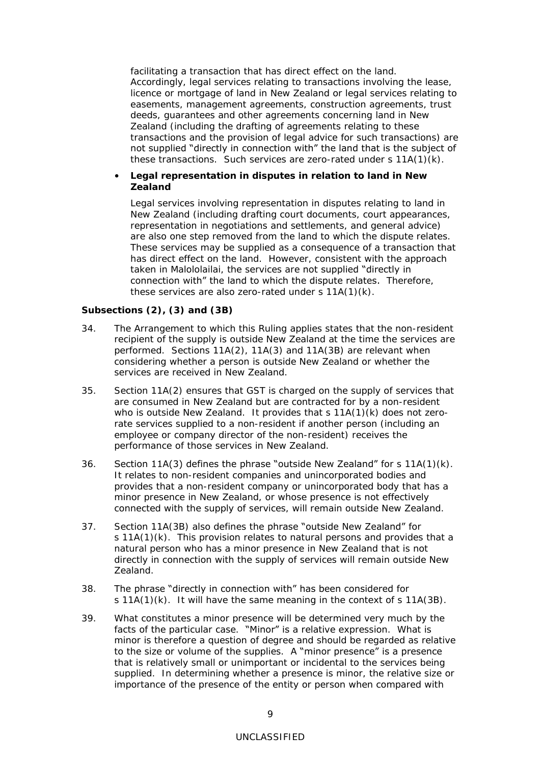facilitating a transaction that has direct effect on the land. Accordingly, legal services relating to transactions involving the lease, licence or mortgage of land in New Zealand or legal services relating to easements, management agreements, construction agreements, trust deeds, guarantees and other agreements concerning land in New Zealand (including the drafting of agreements relating to these transactions and the provision of legal advice for such transactions) are not supplied "directly in connection with" the land that is the subject of these transactions. Such services are zero-rated under s 11A(1)(k).

• *Legal representation in disputes in relation to land in New Zealand*

Legal services involving representation in disputes relating to land in New Zealand (including drafting court documents, court appearances, representation in negotiations and settlements, and general advice) are also one step removed from the land to which the dispute relates. These services may be supplied as a consequence of a transaction that has direct effect on the land. However, consistent with the approach taken in *Malololailai*, the services are not supplied "directly in connection with" the land to which the dispute relates. Therefore, these services are also zero-rated under s 11A(1)(k).

**Subsections (2), (3) and (3B)**

- 34. The Arrangement to which this Ruling applies states that the non-resident recipient of the supply is outside New Zealand at the time the services are performed. Sections 11A(2), 11A(3) and 11A(3B) are relevant when considering whether a person is outside New Zealand or whether the services are received in New Zealand.
- 35. Section 11A(2) ensures that GST is charged on the supply of services that are consumed in New Zealand but are contracted for by a non-resident who is outside New Zealand. It provides that s 11A(1)(k) does not zerorate services supplied to a non-resident if another person (including an employee or company director of the non-resident) receives the performance of those services in New Zealand.
- 36. Section  $11A(3)$  defines the phrase "outside New Zealand" for s  $11A(1)(k)$ . It relates to non-resident companies and unincorporated bodies and provides that a non-resident company or unincorporated body that has a minor presence in New Zealand, or whose presence is not effectively connected with the supply of services, will remain outside New Zealand.
- 37. Section 11A(3B) also defines the phrase "outside New Zealand" for s 11A(1)(k). This provision relates to natural persons and provides that a natural person who has a minor presence in New Zealand that is not directly in connection with the supply of services will remain outside New Zealand.
- 38. The phrase "directly in connection with" has been considered for s 11A(1)(k). It will have the same meaning in the context of s 11A(3B).
- 39. What constitutes a minor presence will be determined very much by the facts of the particular case. "Minor" is a relative expression. What is minor is therefore a question of degree and should be regarded as relative to the size or volume of the supplies. A "minor presence" is a presence that is relatively small or unimportant or incidental to the services being supplied. In determining whether a presence is minor, the relative size or importance of the presence of the entity or person when compared with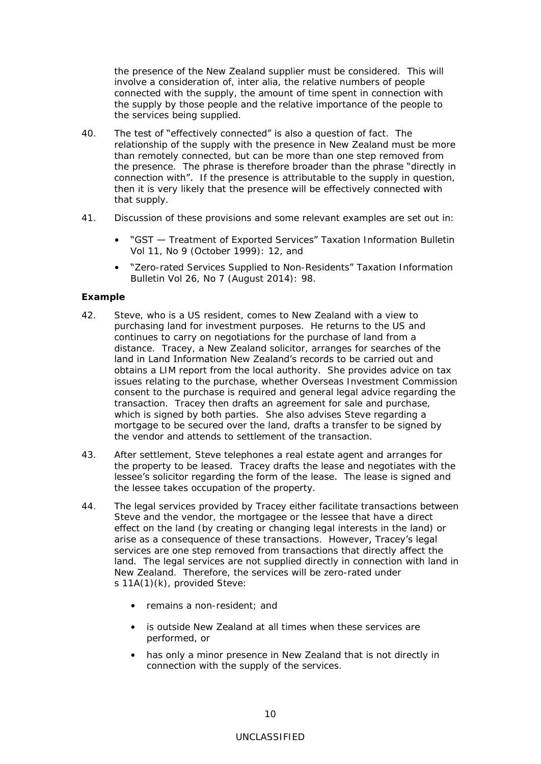the presence of the New Zealand supplier must be considered. This will involve a consideration of, inter alia, the relative numbers of people connected with the supply, the amount of time spent in connection with the supply by those people and the relative importance of the people to the services being supplied.

- 40. The test of "effectively connected" is also a question of fact. The relationship of the supply with the presence in New Zealand must be more than remotely connected, but can be more than one step removed from the presence. The phrase is therefore broader than the phrase "directly in connection with". If the presence is attributable to the supply in question, then it is very likely that the presence will be effectively connected with that supply.
- 41. Discussion of these provisions and some relevant examples are set out in:
	- "GST Treatment of Exported Services" *Taxation Information Bulletin* Vol 11, No 9 (October 1999): 12, and
	- "Zero-rated Services Supplied to Non-Residents" *Taxation Information Bulletin* Vol 26, No 7 (August 2014): 98.

### **Example**

- 42. Steve, who is a US resident, comes to New Zealand with a view to purchasing land for investment purposes. He returns to the US and continues to carry on negotiations for the purchase of land from a distance. Tracey, a New Zealand solicitor, arranges for searches of the land in Land Information New Zealand's records to be carried out and obtains a LIM report from the local authority. She provides advice on tax issues relating to the purchase, whether Overseas Investment Commission consent to the purchase is required and general legal advice regarding the transaction. Tracey then drafts an agreement for sale and purchase, which is signed by both parties. She also advises Steve regarding a mortgage to be secured over the land, drafts a transfer to be signed by the vendor and attends to settlement of the transaction.
- 43. After settlement, Steve telephones a real estate agent and arranges for the property to be leased. Tracey drafts the lease and negotiates with the lessee's solicitor regarding the form of the lease. The lease is signed and the lessee takes occupation of the property.
- 44. The legal services provided by Tracey either facilitate transactions between Steve and the vendor, the mortgagee or the lessee that have a direct effect on the land (by creating or changing legal interests in the land) or arise as a consequence of these transactions. However, Tracey's legal services are one step removed from transactions that directly affect the land. The legal services are not supplied directly in connection with land in New Zealand. Therefore, the services will be zero-rated under s 11A(1)(k), provided Steve:
	- remains a non-resident; and
	- is outside New Zealand at all times when these services are performed, or
	- has only a minor presence in New Zealand that is not directly in connection with the supply of the services.

### UNCLASSIFIED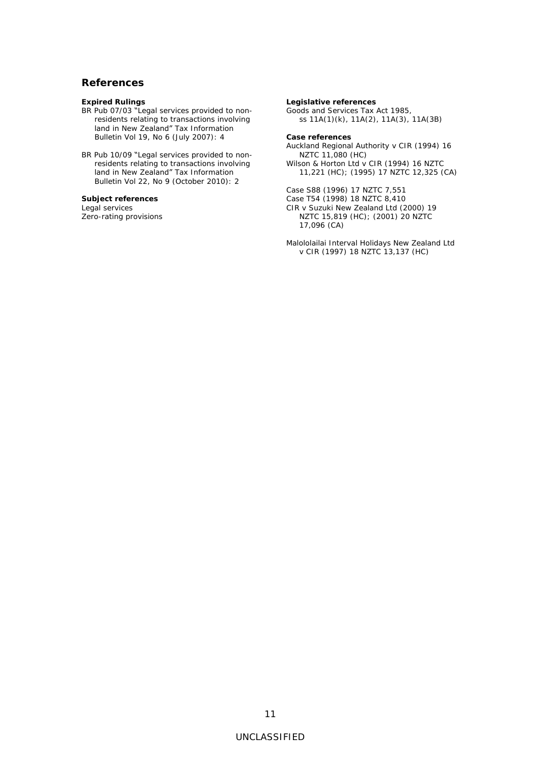### <span id="page-12-0"></span>**References**

**Expired Rulings**

BR Pub 07/03 "Legal services provided to nonresidents relating to transactions involving land in New Zealand" *Tax Information Bulletin* Vol 19, No 6 (July 2007): 4

BR Pub 10/09 "Legal services provided to nonresidents relating to transactions involving land in New Zealand" *Tax Information Bulletin* Vol 22, No 9 (October 2010): 2

**Subject references** Legal services Zero-rating provisions **Legislative references** Goods and Services Tax Act 1985, ss 11A(1)(k), 11A(2), 11A(3), 11A(3B)

**Case references**

*Auckland Regional Authority v CIR* (1994) 16 NZTC 11,080 (HC) *Wilson & Horton Ltd v CIR* (1994) 16 NZTC 11,221 (HC); (1995) 17 NZTC 12,325 (CA)

*Case S88* (1996) 17 NZTC 7,551 *Case T54* (1998) 18 NZTC 8,410 *CIR v Suzuki New Zealand Ltd* (2000) 19 NZTC 15,819 (HC); (2001) 20 NZTC 17,096 (CA)

*Malololailai Interval Holidays New Zealand Ltd v CIR* (1997) 18 NZTC 13,137 (HC)